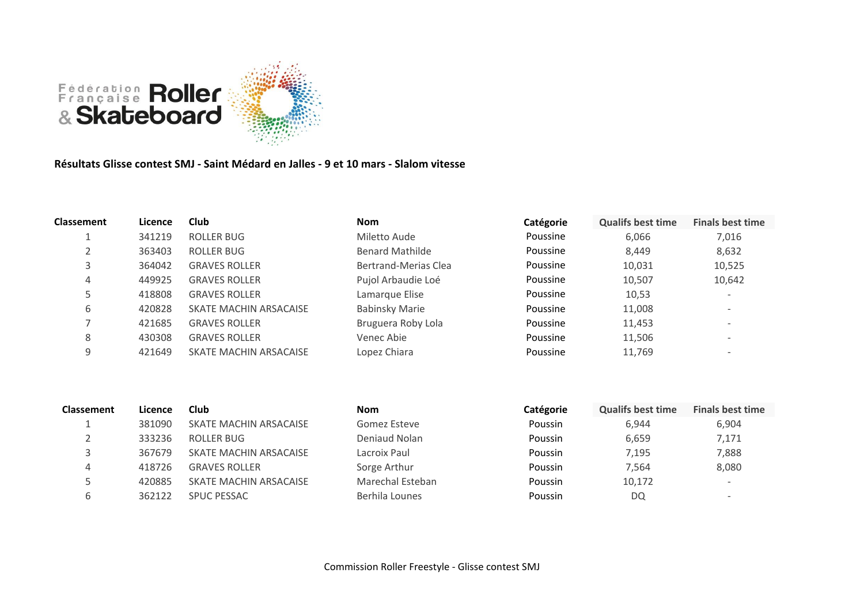

## **Résultats Glisse contest SMJ - Saint Médard en Jalles - 9 et 10 mars - Slalom vitesse**

| <b>Classement</b> | Licence | Club                   | <b>Nom</b>             | Catégorie | <b>Qualifs best time</b> | <b>Finals best time</b>      |
|-------------------|---------|------------------------|------------------------|-----------|--------------------------|------------------------------|
|                   | 341219  | ROLLER BUG             | Miletto Aude           | Poussine  | 6,066                    | 7,016                        |
|                   | 363403  | ROLLER BUG             | <b>Benard Mathilde</b> | Poussine  | 8,449                    | 8,632                        |
|                   | 364042  | <b>GRAVES ROLLER</b>   | Bertrand-Merias Clea   | Poussine  | 10,031                   | 10,525                       |
| 4                 | 449925  | <b>GRAVES ROLLER</b>   | Pujol Arbaudie Loé     | Poussine  | 10,507                   | 10,642                       |
|                   | 418808  | <b>GRAVES ROLLER</b>   | Lamarque Elise         | Poussine  | 10,53                    | $\overline{\phantom{0}}$     |
| 6                 | 420828  | SKATE MACHIN ARSACAISE | <b>Babinsky Marie</b>  | Poussine  | 11,008                   | $\overline{\phantom{a}}$     |
|                   | 421685  | <b>GRAVES ROLLER</b>   | Bruguera Roby Lola     | Poussine  | 11,453                   | $\overline{\phantom{a}}$     |
| 8                 | 430308  | <b>GRAVES ROLLER</b>   | Venec Abie             | Poussine  | 11,506                   | $\overline{\phantom{a}}$     |
| 9                 | 421649  | SKATE MACHIN ARSACAISE | Lopez Chiara           | Poussine  | 11,769                   | $\qquad \qquad \blacksquare$ |

| <b>Classement</b> | Licence | Club                   | <b>Nom</b>       | Catégorie      | <b>Qualifs best time</b> | <b>Finals best time</b>  |
|-------------------|---------|------------------------|------------------|----------------|--------------------------|--------------------------|
|                   | 381090  | SKATE MACHIN ARSACAISE | Gomez Esteve     | Poussin        | 6.944                    | 6,904                    |
|                   | 333236  | ROLLER BUG             | Deniaud Nolan    | <b>Poussin</b> | 6,659                    | 7,171                    |
|                   | 367679  | SKATE MACHIN ARSACAISE | Lacroix Paul     | <b>Poussin</b> | 7.195                    | 7,888                    |
| 4                 | 418726  | <b>GRAVES ROLLER</b>   | Sorge Arthur     | <b>Poussin</b> | 7.564                    | 8,080                    |
|                   | 420885  | SKATE MACHIN ARSACAISE | Marechal Esteban | Poussin        | 10,172                   | $\overline{\phantom{a}}$ |
|                   | 362122  | <b>SPUC PESSAC</b>     | Berhila Lounes   | Poussin        | DQ                       | $\overline{\phantom{0}}$ |
|                   |         |                        |                  |                |                          |                          |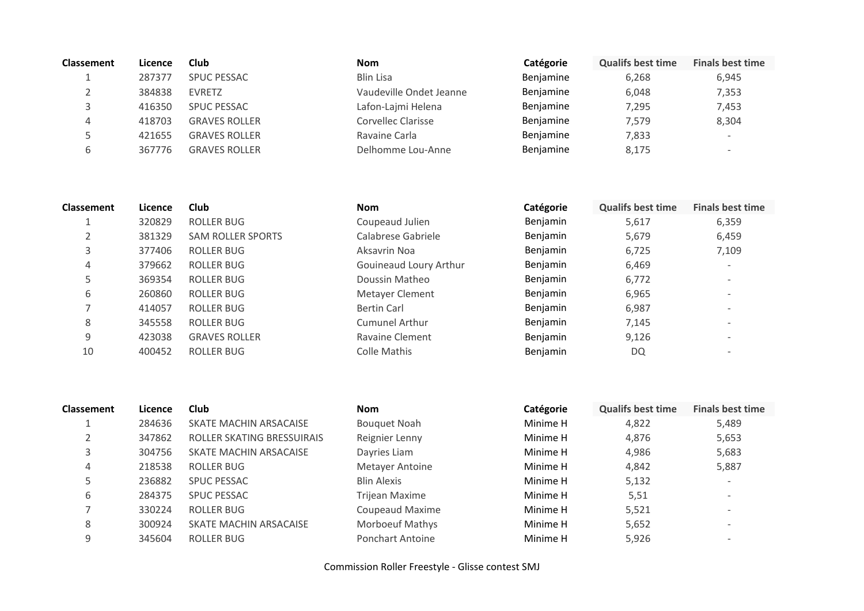| <b>Classement</b> | Licence | Club                 | <b>Nom</b>              | Catégorie | <b>Qualifs best time</b> | <b>Finals best time</b>  |
|-------------------|---------|----------------------|-------------------------|-----------|--------------------------|--------------------------|
|                   | 287377  | <b>SPUC PESSAC</b>   | <b>Blin Lisa</b>        | Benjamine | 6,268                    | 6,945                    |
|                   | 384838  | <b>EVRETZ</b>        | Vaudeville Ondet Jeanne | Benjamine | 6,048                    | 7,353                    |
|                   | 416350  | <b>SPUC PESSAC</b>   | Lafon-Lajmi Helena      | Benjamine | 7,295                    | 7,453                    |
| 4                 | 418703  | <b>GRAVES ROLLER</b> | Corvellec Clarisse      | Benjamine | 7,579                    | 8,304                    |
|                   | 421655  | <b>GRAVES ROLLER</b> | Ravaine Carla           | Benjamine | 7,833                    | $\overline{\phantom{0}}$ |
| b                 | 367776  | <b>GRAVES ROLLER</b> | Delhomme Lou-Anne       | Benjamine | 8,175                    | $\overline{\phantom{0}}$ |

| <b>Classement</b> | Licence | <b>Club</b>              | <b>Nom</b>             | Catégorie | <b>Qualifs best time</b> | <b>Finals best time</b>      |
|-------------------|---------|--------------------------|------------------------|-----------|--------------------------|------------------------------|
|                   | 320829  | ROLLER BUG               | Coupeaud Julien        | Benjamin  | 5,617                    | 6,359                        |
|                   | 381329  | <b>SAM ROLLER SPORTS</b> | Calabrese Gabriele     | Benjamin  | 5,679                    | 6,459                        |
| 3                 | 377406  | ROLLER BUG               | Aksavrin Noa           | Benjamin  | 6,725                    | 7,109                        |
| $\overline{4}$    | 379662  | ROLLER BUG               | Gouineaud Loury Arthur | Benjamin  | 6,469                    | $\overline{\phantom{a}}$     |
| 5                 | 369354  | <b>ROLLER BUG</b>        | Doussin Matheo         | Benjamin  | 6,772                    | $\overline{\phantom{a}}$     |
| 6                 | 260860  | ROLLER BUG               | Metayer Clement        | Benjamin  | 6,965                    | $\qquad \qquad \blacksquare$ |
|                   | 414057  | <b>ROLLER BUG</b>        | Bertin Carl            | Benjamin  | 6,987                    | $\qquad \qquad \blacksquare$ |
| 8                 | 345558  | ROLLER BUG               | <b>Cumunel Arthur</b>  | Benjamin  | 7,145                    | $\qquad \qquad$              |
| 9                 | 423038  | <b>GRAVES ROLLER</b>     | Ravaine Clement        | Benjamin  | 9,126                    | $\qquad \qquad \blacksquare$ |
| 10                | 400452  | <b>ROLLER BUG</b>        | Colle Mathis           | Benjamin  | DQ                       | $\overline{\phantom{a}}$     |

| <b>Classement</b> | Licence | Club                       | <b>Nom</b>              | Catégorie | <b>Qualifs best time</b> | <b>Finals best time</b>  |
|-------------------|---------|----------------------------|-------------------------|-----------|--------------------------|--------------------------|
|                   | 284636  | SKATE MACHIN ARSACAISE     | <b>Bouquet Noah</b>     | Minime H  | 4,822                    | 5,489                    |
|                   | 347862  | ROLLER SKATING BRESSUIRAIS | Reignier Lenny          | Minime H  | 4,876                    | 5,653                    |
| 3                 | 304756  | SKATE MACHIN ARSACAISE     | Dayries Liam            | Minime H  | 4,986                    | 5,683                    |
| 4                 | 218538  | ROLLER BUG                 | Metayer Antoine         | Minime H  | 4,842                    | 5,887                    |
|                   | 236882  | <b>SPUC PESSAC</b>         | <b>Blin Alexis</b>      | Minime H  | 5,132                    | $\overline{\phantom{a}}$ |
| 6                 | 284375  | <b>SPUC PESSAC</b>         | Trijean Maxime          | Minime H  | 5,51                     | $\overline{\phantom{a}}$ |
|                   | 330224  | ROLLER BUG                 | Coupeaud Maxime         | Minime H  | 5,521                    | $\overline{\phantom{0}}$ |
| 8                 | 300924  | SKATE MACHIN ARSACAISE     | <b>Morboeuf Mathys</b>  | Minime H  | 5,652                    | $\overline{\phantom{0}}$ |
| 9                 | 345604  | ROLLER BUG                 | <b>Ponchart Antoine</b> | Minime H  | 5,926                    | $\overline{\phantom{a}}$ |

Commission Roller Freestyle - Glisse contest SMJ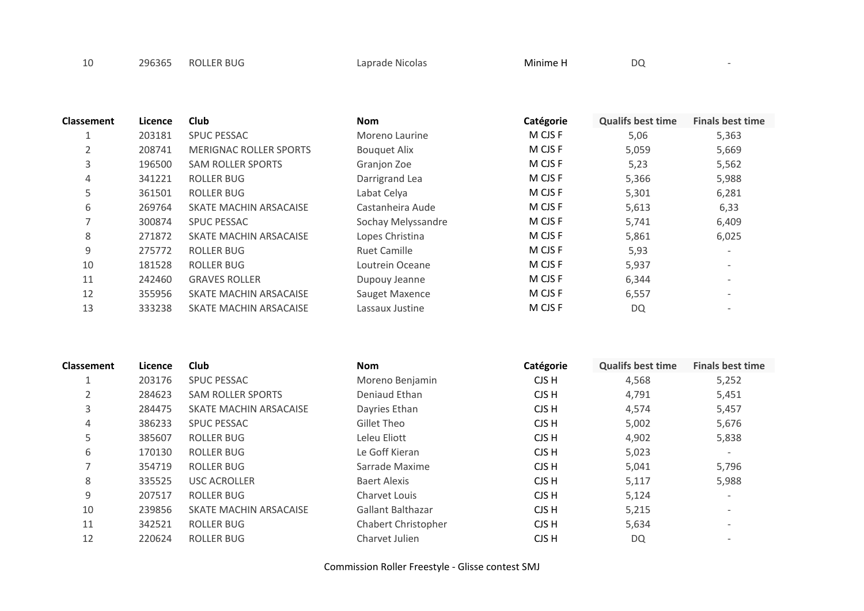| 10 | 296365 | <b>ROLLER BUG</b> | Laprade Nicolas | Minime H | DQ |  |
|----|--------|-------------------|-----------------|----------|----|--|
|----|--------|-------------------|-----------------|----------|----|--|

| <b>Classement</b> | Licence | <b>Club</b>                   | <b>Nom</b>          | Catégorie | <b>Qualifs best time</b> | <b>Finals best time</b>  |
|-------------------|---------|-------------------------------|---------------------|-----------|--------------------------|--------------------------|
| 1                 | 203181  | <b>SPUC PESSAC</b>            | Moreno Laurine      | M CJS F   | 5,06                     | 5,363                    |
| $\overline{2}$    | 208741  | <b>MERIGNAC ROLLER SPORTS</b> | <b>Bouquet Alix</b> | M CJS F   | 5,059                    | 5,669                    |
| 3                 | 196500  | <b>SAM ROLLER SPORTS</b>      | Granjon Zoe         | M CJS F   | 5,23                     | 5,562                    |
| 4                 | 341221  | <b>ROLLER BUG</b>             | Darrigrand Lea      | M CJS F   | 5,366                    | 5,988                    |
| 5                 | 361501  | <b>ROLLER BUG</b>             | Labat Celya         | M CJS F   | 5,301                    | 6,281                    |
| 6                 | 269764  | SKATE MACHIN ARSACAISE        | Castanheira Aude    | M CJS F   | 5,613                    | 6,33                     |
| 7                 | 300874  | <b>SPUC PESSAC</b>            | Sochay Melyssandre  | M CJS F   | 5,741                    | 6,409                    |
| 8                 | 271872  | SKATE MACHIN ARSACAISE        | Lopes Christina     | M CJS F   | 5,861                    | 6,025                    |
| 9                 | 275772  | <b>ROLLER BUG</b>             | <b>Ruet Camille</b> | M CJS F   | 5,93                     | $\overline{\phantom{a}}$ |
| 10                | 181528  | <b>ROLLER BUG</b>             | Loutrein Oceane     | M CJS F   | 5,937                    | $\overline{\phantom{a}}$ |
| 11                | 242460  | <b>GRAVES ROLLER</b>          | Dupouy Jeanne       | M CJS F   | 6,344                    | $\overline{\phantom{a}}$ |
| 12                | 355956  | SKATE MACHIN ARSACAISE        | Sauget Maxence      | M CJS F   | 6,557                    | $\overline{\phantom{a}}$ |
| 13                | 333238  | SKATE MACHIN ARSACAISE        | Lassaux Justine     | M CJS F   | DQ                       | $\overline{\phantom{a}}$ |

| Classement | Licence | <b>Club</b>              | <b>Nom</b>               | Catégorie | <b>Qualifs best time</b> | <b>Finals best time</b>  |
|------------|---------|--------------------------|--------------------------|-----------|--------------------------|--------------------------|
|            | 203176  | <b>SPUC PESSAC</b>       | Moreno Benjamin          | CJS H     | 4,568                    | 5,252                    |
| 2          | 284623  | <b>SAM ROLLER SPORTS</b> | Deniaud Ethan            | CJS H     | 4,791                    | 5,451                    |
| 3          | 284475  | SKATE MACHIN ARSACAISE   | Dayries Ethan            | CJS H     | 4,574                    | 5,457                    |
| 4          | 386233  | <b>SPUC PESSAC</b>       | Gillet Theo              | CJS H     | 5,002                    | 5,676                    |
| 5          | 385607  | <b>ROLLER BUG</b>        | Leleu Eliott             | CJS H     | 4,902                    | 5,838                    |
| 6          | 170130  | <b>ROLLER BUG</b>        | Le Goff Kieran           | CJS H     | 5,023                    | $\overline{\phantom{0}}$ |
| ∍          | 354719  | <b>ROLLER BUG</b>        | Sarrade Maxime           | CJS H     | 5,041                    | 5,796                    |
| 8          | 335525  | <b>USC ACROLLER</b>      | Baert Alexis             | CJS H     | 5,117                    | 5,988                    |
| 9          | 207517  | <b>ROLLER BUG</b>        | Charvet Louis            | CJS H     | 5,124                    | $\overline{\phantom{0}}$ |
| 10         | 239856  | SKATE MACHIN ARSACAISE   | <b>Gallant Balthazar</b> | CJS H     | 5,215                    | $\overline{\phantom{0}}$ |
| 11         | 342521  | <b>ROLLER BUG</b>        | Chabert Christopher      | CJS H     | 5,634                    | $\overline{\phantom{a}}$ |
| 12         | 220624  | <b>ROLLER BUG</b>        | Charvet Julien           | CJS H     | DQ                       |                          |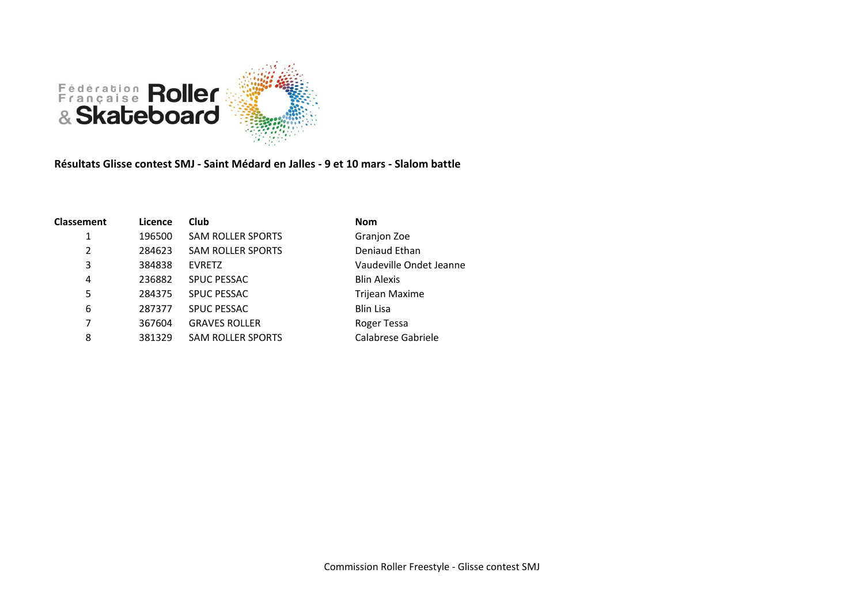

**Résultats Glisse contest SMJ - Saint Médard en Jalles - 9 et 10 mars - Slalom battle**

| <b>Classement</b> | Licence | <b>Club</b>              | <b>Nom</b>              |
|-------------------|---------|--------------------------|-------------------------|
| 1                 | 196500  | <b>SAM ROLLER SPORTS</b> | Granjon Zoe             |
| $\overline{2}$    | 284623  | <b>SAM ROLLER SPORTS</b> | Deniaud Ethan           |
| 3                 | 384838  | <b>EVRETZ</b>            | Vaudeville Ondet Jeanne |
| 4                 | 236882  | <b>SPUC PESSAC</b>       | <b>Blin Alexis</b>      |
| 5                 | 284375  | <b>SPUC PESSAC</b>       | <b>Trijean Maxime</b>   |
| 6                 | 287377  | <b>SPUC PESSAC</b>       | <b>Blin Lisa</b>        |
| 7                 | 367604  | <b>GRAVES ROLLER</b>     | Roger Tessa             |
| 8                 | 381329  | <b>SAM ROLLER SPORTS</b> | Calabrese Gabriele      |
|                   |         |                          |                         |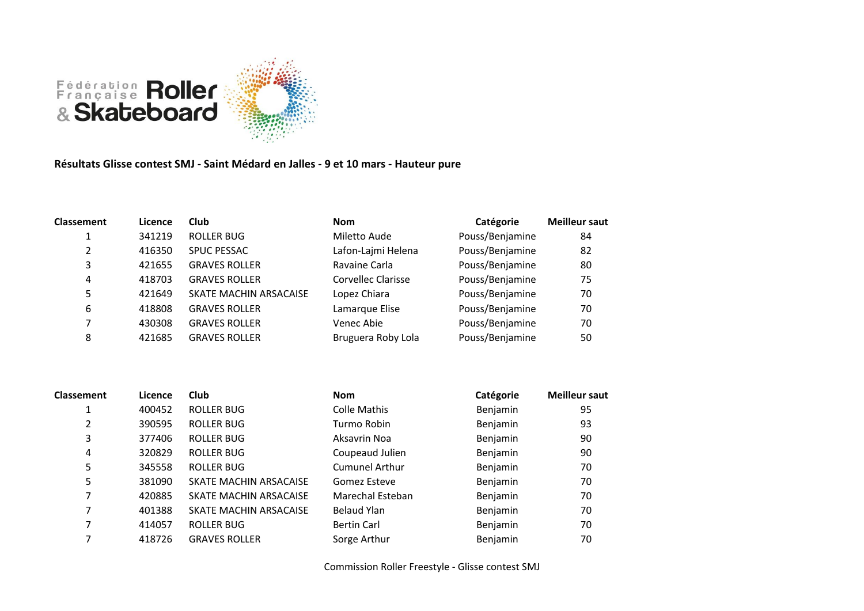

## **Résultats Glisse contest SMJ - Saint Médard en Jalles - 9 et 10 mars - Hauteur pure**

| <b>Classement</b> | Licence | Club                   | <b>Nom</b>         | Catégorie       | <b>Meilleur saut</b> |
|-------------------|---------|------------------------|--------------------|-----------------|----------------------|
|                   | 341219  | <b>ROLLER BUG</b>      | Miletto Aude       | Pouss/Benjamine | 84                   |
| 2                 | 416350  | <b>SPUC PESSAC</b>     | Lafon-Lajmi Helena | Pouss/Benjamine | 82                   |
| 3                 | 421655  | <b>GRAVES ROLLER</b>   | Ravaine Carla      | Pouss/Benjamine | 80                   |
| 4                 | 418703  | <b>GRAVES ROLLER</b>   | Corvellec Clarisse | Pouss/Benjamine | 75                   |
| 5                 | 421649  | SKATE MACHIN ARSACAISE | Lopez Chiara       | Pouss/Benjamine | 70                   |
| 6                 | 418808  | <b>GRAVES ROLLER</b>   | Lamarque Elise     | Pouss/Benjamine | 70                   |
| ⇁                 | 430308  | <b>GRAVES ROLLER</b>   | Venec Abie         | Pouss/Benjamine | 70                   |
| 8                 | 421685  | <b>GRAVES ROLLER</b>   | Bruguera Roby Lola | Pouss/Benjamine | 50                   |

| <b>Classement</b> | Licence | <b>Club</b>            | <b>Nom</b>            | Catégorie | <b>Meilleur saut</b> |
|-------------------|---------|------------------------|-----------------------|-----------|----------------------|
| 1                 | 400452  | ROLLER BUG             | <b>Colle Mathis</b>   | Benjamin  | 95                   |
| 2                 | 390595  | ROLLER BUG             | Turmo Robin           | Benjamin  | 93                   |
| 3                 | 377406  | ROLLER BUG             | Aksavrin Noa          | Benjamin  | 90                   |
| 4                 | 320829  | ROLLER BUG             | Coupeaud Julien       | Benjamin  | 90                   |
| 5                 | 345558  | <b>ROLLER BUG</b>      | <b>Cumunel Arthur</b> | Benjamin  | 70                   |
| 5                 | 381090  | SKATE MACHIN ARSACAISE | Gomez Esteve          | Benjamin  | 70                   |
| 7                 | 420885  | SKATE MACHIN ARSACAISE | Marechal Esteban      | Benjamin  | 70                   |
| 7                 | 401388  | SKATE MACHIN ARSACAISE | Belaud Ylan           | Benjamin  | 70                   |
| 7                 | 414057  | ROLLER BUG             | <b>Bertin Carl</b>    | Benjamin  | 70                   |
| 7                 | 418726  | <b>GRAVES ROLLER</b>   | Sorge Arthur          | Benjamin  | 70                   |